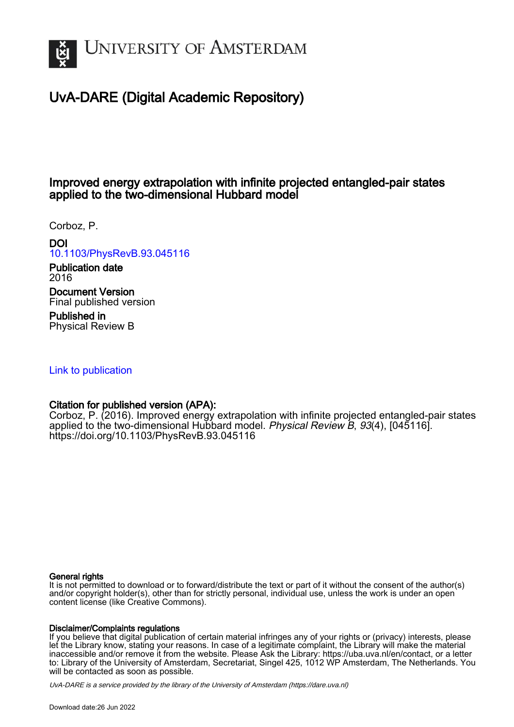

# UvA-DARE (Digital Academic Repository)

## Improved energy extrapolation with infinite projected entangled-pair states applied to the two-dimensional Hubbard model

Corboz, P.

## DOI

## [10.1103/PhysRevB.93.045116](https://doi.org/10.1103/PhysRevB.93.045116)

Publication date 2016

Document Version Final published version

Published in Physical Review B

## [Link to publication](https://dare.uva.nl/personal/pure/en/publications/improved-energy-extrapolation-with-infinite-projected-entangledpair-states-applied-to-the-twodimensional-hubbard-model(b2bef208-2781-4767-82d1-d8557140ed33).html)

## Citation for published version (APA):

Corboz, P. (2016). Improved energy extrapolation with infinite projected entangled-pair states applied to the two-dimensional Hubbard model. Physical Review B, 93(4), [045116]. <https://doi.org/10.1103/PhysRevB.93.045116>

### General rights

It is not permitted to download or to forward/distribute the text or part of it without the consent of the author(s) and/or copyright holder(s), other than for strictly personal, individual use, unless the work is under an open content license (like Creative Commons).

### Disclaimer/Complaints regulations

If you believe that digital publication of certain material infringes any of your rights or (privacy) interests, please let the Library know, stating your reasons. In case of a legitimate complaint, the Library will make the material inaccessible and/or remove it from the website. Please Ask the Library: https://uba.uva.nl/en/contact, or a letter to: Library of the University of Amsterdam, Secretariat, Singel 425, 1012 WP Amsterdam, The Netherlands. You will be contacted as soon as possible.

UvA-DARE is a service provided by the library of the University of Amsterdam (http*s*://dare.uva.nl)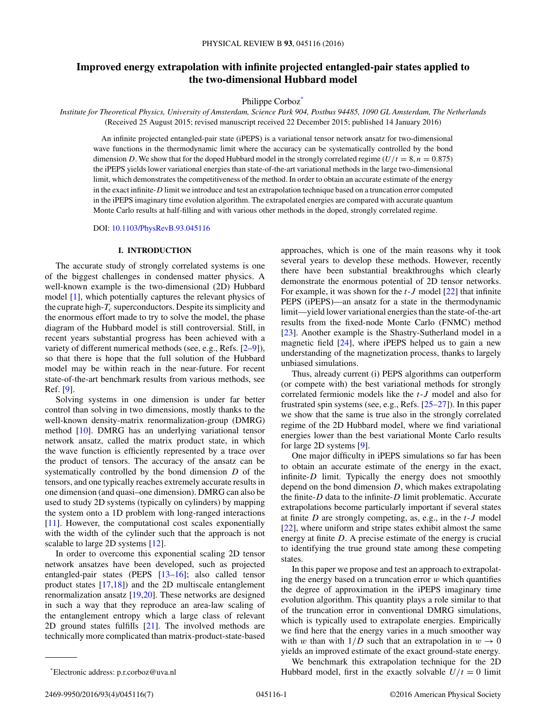## **Improved energy extrapolation with infinite projected entangled-pair states applied to the two-dimensional Hubbard model**

Philippe Corboz<sup>\*</sup>

*Institute for Theoretical Physics, University of Amsterdam, Science Park 904, Postbus 94485, 1090 GL Amsterdam, The Netherlands* (Received 25 August 2015; revised manuscript received 22 December 2015; published 14 January 2016)

An infinite projected entangled-pair state (iPEPS) is a variational tensor network ansatz for two-dimensional wave functions in the thermodynamic limit where the accuracy can be systematically controlled by the bond dimension *D*. We show that for the doped Hubbard model in the strongly correlated regime ( $U/t = 8$ ,  $n = 0.875$ ) the iPEPS yields lower variational energies than state-of-the-art variational methods in the large two-dimensional limit, which demonstrates the competitiveness of the method. In order to obtain an accurate estimate of the energy in the exact infinite-*D* limit we introduce and test an extrapolation technique based on a truncation error computed in the iPEPS imaginary time evolution algorithm. The extrapolated energies are compared with accurate quantum Monte Carlo results at half-filling and with various other methods in the doped, strongly correlated regime.

DOI: [10.1103/PhysRevB.93.045116](http://dx.doi.org/10.1103/PhysRevB.93.045116)

#### **I. INTRODUCTION**

The accurate study of strongly correlated systems is one of the biggest challenges in condensed matter physics. A well-known example is the two-dimensional (2D) Hubbard model [\[1\]](#page-7-0), which potentially captures the relevant physics of the cuprate high- $T_c$  superconductors. Despite its simplicity and the enormous effort made to try to solve the model, the phase diagram of the Hubbard model is still controversial. Still, in recent years substantial progress has been achieved with a variety of different numerical methods (see, e.g., Refs. [\[2–9\]](#page-7-0)), so that there is hope that the full solution of the Hubbard model may be within reach in the near-future. For recent state-of-the-art benchmark results from various methods, see Ref. [\[9\]](#page-7-0).

Solving systems in one dimension is under far better control than solving in two dimensions, mostly thanks to the well-known density-matrix renormalization-group (DMRG) method [\[10\]](#page-7-0). DMRG has an underlying variational tensor network ansatz, called the matrix product state, in which the wave function is efficiently represented by a trace over the product of tensors. The accuracy of the ansatz can be systematically controlled by the bond dimension *D* of the tensors, and one typically reaches extremely accurate results in one dimension (and quasi–one dimension). DMRG can also be used to study 2D systems (typically on cylinders) by mapping the system onto a 1D problem with long-ranged interactions [\[11\]](#page-7-0). However, the computational cost scales exponentially with the width of the cylinder such that the approach is not scalable to large 2D systems [\[12\]](#page-7-0).

In order to overcome this exponential scaling 2D tensor network ansatzes have been developed, such as projected entangled-pair states (PEPS [\[13–16\]](#page-7-0); also called tensor product states [\[17,18\]](#page-7-0)) and the 2D multiscale entanglement renormalization ansatz [\[19,20\]](#page-7-0). These networks are designed in such a way that they reproduce an area-law scaling of the entanglement entropy which a large class of relevant 2D ground states fulfills [\[21\]](#page-7-0). The involved methods are technically more complicated than matrix-product-state-based

approaches, which is one of the main reasons why it took several years to develop these methods. However, recently there have been substantial breakthroughs which clearly demonstrate the enormous potential of 2D tensor networks. For example, it was shown for the *t*-*J* model [\[22\]](#page-7-0) that infinite PEPS (iPEPS)—an ansatz for a state in the thermodynamic limit—yield lower variational energies than the state-of-the-art results from the fixed-node Monte Carlo (FNMC) method [\[23\]](#page-7-0). Another example is the Shastry-Sutherland model in a magnetic field [\[24\]](#page-7-0), where iPEPS helped us to gain a new understanding of the magnetization process, thanks to largely unbiased simulations.

Thus, already current (i) PEPS algorithms can outperform (or compete with) the best variational methods for strongly correlated fermionic models like the *t*-*J* model and also for frustrated spin systems (see, e.g., Refs. [\[25–27\]](#page-7-0)). In this paper we show that the same is true also in the strongly correlated regime of the 2D Hubbard model, where we find variational energies lower than the best variational Monte Carlo results for large 2D systems [\[9\]](#page-7-0).

One major difficulty in iPEPS simulations so far has been to obtain an accurate estimate of the energy in the exact, infinite-*D* limit. Typically the energy does not smoothly depend on the bond dimension *D*, which makes extrapolating the finite-*D* data to the infinite-*D* limit problematic. Accurate extrapolations become particularly important if several states at finite *D* are strongly competing, as, e.g., in the *t*-*J* model [\[22\]](#page-7-0), where uniform and stripe states exhibit almost the same energy at finite *D*. A precise estimate of the energy is crucial to identifying the true ground state among these competing states.

In this paper we propose and test an approach to extrapolating the energy based on a truncation error *w* which quantifies the degree of approximation in the iPEPS imaginary time evolution algorithm. This quantity plays a role similar to that of the truncation error in conventional DMRG simulations, which is typically used to extrapolate energies. Empirically we find here that the energy varies in a much smoother way with *w* than with  $1/D$  such that an extrapolation in  $w \to 0$ yields an improved estimate of the exact ground-state energy.

We benchmark this extrapolation technique for the 2D Hubbard model, first in the exactly solvable  $U/t = 0$  limit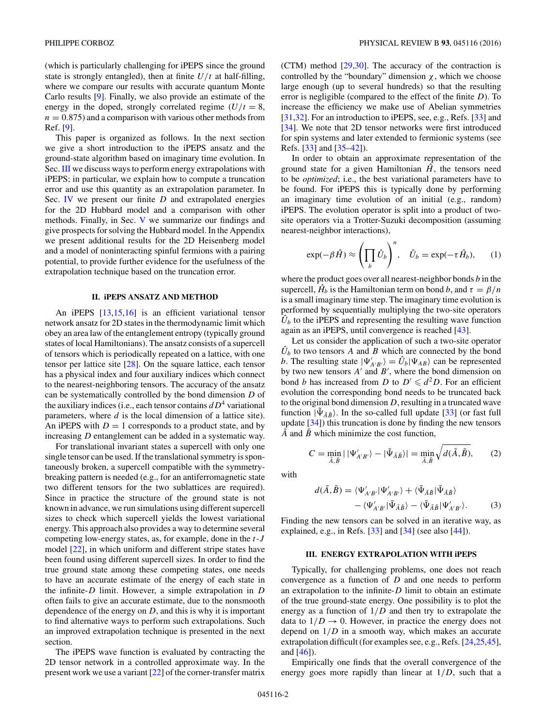<span id="page-2-0"></span>(which is particularly challenging for iPEPS since the ground state is strongly entangled), then at finite  $U/t$  at half-filling, where we compare our results with accurate quantum Monte Carlo results [\[9\]](#page-7-0). Finally, we also provide an estimate of the energy in the doped, strongly correlated regime  $(U/t = 8$ ,  $n = 0.875$  and a comparison with various other methods from Ref. [\[9\]](#page-7-0).

This paper is organized as follows. In the next section we give a short introduction to the iPEPS ansatz and the ground-state algorithm based on imaginary time evolution. In Sec. III we discuss ways to perform energy extrapolations with iPEPS; in particular, we explain how to compute a truncation error and use this quantity as an extrapolation parameter. In Sec. [IV](#page-3-0) we present our finite *D* and extrapolated energies for the 2D Hubbard model and a comparison with other methods. Finally, in Sec. [V](#page-5-0) we summarize our findings and give prospects for solving the Hubbard model. In the Appendix we present additional results for the 2D Heisenberg model and a model of noninteracting spinful fermions with a pairing potential, to provide further evidence for the usefulness of the extrapolation technique based on the truncation error.

#### **II. iPEPS ANSATZ AND METHOD**

An iPEPS [\[13,15,16\]](#page-7-0) is an efficient variational tensor network ansatz for 2D states in the thermodynamic limit which obey an area law of the entanglement entropy (typically ground states of local Hamiltonians). The ansatz consists of a supercell of tensors which is periodically repeated on a lattice, with one tensor per lattice site [\[28\]](#page-7-0). On the square lattice, each tensor has a physical index and four auxiliary indices which connect to the nearest-neighboring tensors. The accuracy of the ansatz can be systematically controlled by the bond dimension *D* of the auxiliary indices (i.e., each tensor contains  $dD^4$  variational parameters, where *d* is the local dimension of a lattice site). An iPEPS with  $D = 1$  corresponds to a product state, and by increasing *D* entanglement can be added in a systematic way.

For translational invariant states a supercell with only one single tensor can be used. If the translational symmetry is spontaneously broken, a supercell compatible with the symmetrybreaking pattern is needed (e.g., for an antiferromagnetic state two different tensors for the two sublattices are required). Since in practice the structure of the ground state is not known in advance, we run simulations using different supercell sizes to check which supercell yields the lowest variational energy. This approach also provides a way to determine several competing low-energy states, as, for example, done in the *t*-*J* model [\[22\]](#page-7-0), in which uniform and different stripe states have been found using different supercell sizes. In order to find the true ground state among these competing states, one needs to have an accurate estimate of the energy of each state in the infinite-*D* limit. However, a simple extrapolation in *D* often fails to give an accurate estimate, due to the nonsmooth dependence of the energy on *D*, and this is why it is important to find alternative ways to perform such extrapolations. Such an improved extrapolation technique is presented in the next section.

The iPEPS wave function is evaluated by contracting the 2D tensor network in a controlled approximate way. In the present work we use a variant [\[22\]](#page-7-0) of the corner-transfer matrix

(CTM) method [\[29,30\]](#page-7-0). The accuracy of the contraction is controlled by the "boundary" dimension *χ*, which we choose large enough (up to several hundreds) so that the resulting error is negligible (compared to the effect of the finite *D*). To increase the efficiency we make use of Abelian symmetries [\[31,32\]](#page-7-0). For an introduction to iPEPS, see, e.g., Refs. [\[33\]](#page-7-0) and [\[34\]](#page-7-0). We note that 2D tensor networks were first introduced for spin systems and later extended to fermionic systems (see Refs. [\[33\]](#page-7-0) and [\[35–42\]](#page-7-0)).

In order to obtain an approximate representation of the ground state for a given Hamiltonian  $\hat{H}$ , the tensors need to be *optimized*; i.e., the best variational parameters have to be found. For iPEPS this is typically done by performing an imaginary time evolution of an initial (e.g., random) iPEPS. The evolution operator is split into a product of twosite operators via a Trotter-Suzuki decomposition (assuming nearest-neighbor interactions),

$$
\exp(-\beta \hat{H}) \approx \left(\prod_b \hat{U}_b\right)^n, \quad \hat{U}_b = \exp(-\tau \hat{H}_b), \quad (1)
$$

where the product goes over all nearest-neighbor bonds *b* in the supercell,  $\hat{H}_b$  is the Hamiltonian term on bond *b*, and  $\tau = \beta/n$ is a small imaginary time step. The imaginary time evolution is performed by sequentially multiplying the two-site operators  $\hat{U}_b$  to the iPEPS and representing the resulting wave function again as an iPEPS, until convergence is reached [\[43\]](#page-7-0).

Let us consider the application of such a two-site operator  $\hat{U}_b$  to two tensors *A* and *B* which are connected by the bond *b*. The resulting state  $|\Psi'_{A'B'}\rangle = \hat{U}_b |\Psi_{AB}\rangle$  can be represented by two new tensors  $A'$  and  $B'$ , where the bond dimension on bond *b* has increased from *D* to  $D' \le d^2D$ . For an efficient evolution the corresponding bond needs to be truncated back to the original bond dimension *D*, resulting in a truncated wave function  $|\tilde{\Psi}_{\tilde{A}\tilde{B}}\rangle$ . In the so-called full update [\[33\]](#page-7-0) (or fast full update [\[34\]](#page-7-0)) this truncation is done by finding the new tensors *A*˜ and *B*˜ which minimize the cost function,

 $C = \min_{\tilde{A}, \tilde{B}} | |\Psi'_{A'B'}\rangle - |\tilde{\Psi}_{\tilde{A}\tilde{B}}\rangle| = \min_{\tilde{A}, \tilde{B}}$ 

with

$$
d(\tilde{A}, \tilde{B}) = \langle \Psi'_{A'B'} | \Psi'_{A'B'} \rangle + \langle \tilde{\Psi}_{\tilde{A}\tilde{B}} | \tilde{\Psi}_{\tilde{A}\tilde{B}} \rangle - \langle \Psi'_{A'B'} | \tilde{\Psi}_{\tilde{A}\tilde{B}} \rangle - \langle \tilde{\Psi}_{\tilde{A}\tilde{B}} | \Psi'_{A'B'} \rangle.
$$
 (3)

 $\sqrt{d(\tilde{A}, \tilde{B})},$  (2)

Finding the new tensors can be solved in an iterative way, as explained, e.g., in Refs.  $[33]$  and  $[34]$  (see also  $[44]$ ).

#### **III. ENERGY EXTRAPOLATION WITH iPEPS**

Typically, for challenging problems, one does not reach convergence as a function of *D* and one needs to perform an extrapolation to the infinite-*D* limit to obtain an estimate of the true ground-state energy. One possibility is to plot the energy as a function of 1*/D* and then try to extrapolate the data to  $1/D \rightarrow 0$ . However, in practice the energy does not depend on 1*/D* in a smooth way, which makes an accurate extrapolation difficult (for examples see, e.g., Refs. [\[24,25,45\]](#page-7-0), and [\[46\]](#page-7-0)).

Empirically one finds that the overall convergence of the energy goes more rapidly than linear at 1*/D*, such that a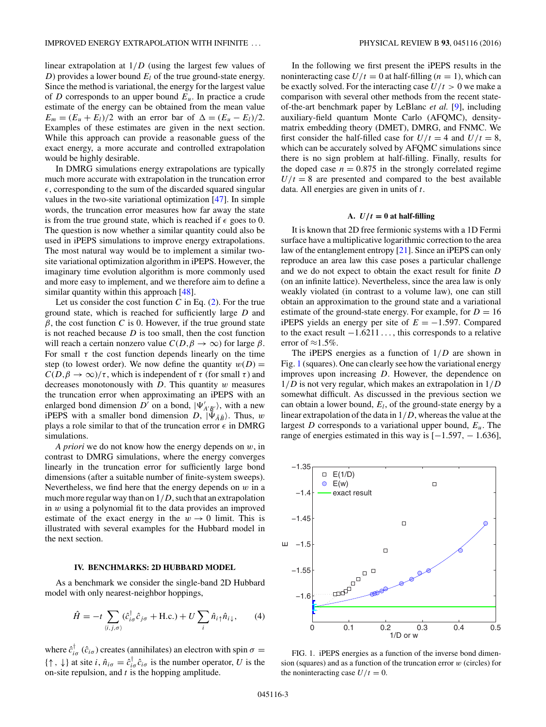<span id="page-3-0"></span>linear extrapolation at 1*/D* (using the largest few values of *D*) provides a lower bound  $E_l$  of the true ground-state energy. Since the method is variational, the energy for the largest value of *D* corresponds to an upper bound *Eu*. In practice a crude estimate of the energy can be obtained from the mean value  $E_m = (E_u + E_l)/2$  with an error bar of  $\Delta = (E_u - E_l)/2$ . Examples of these estimates are given in the next section. While this approach can provide a reasonable guess of the exact energy, a more accurate and controlled extrapolation would be highly desirable.

In DMRG simulations energy extrapolations are typically much more accurate with extrapolation in the truncation error  $\epsilon$ , corresponding to the sum of the discarded squared singular values in the two-site variational optimization [\[47\]](#page-7-0). In simple words, the truncation error measures how far away the state is from the true ground state, which is reached if  $\epsilon$  goes to 0. The question is now whether a similar quantity could also be used in iPEPS simulations to improve energy extrapolations. The most natural way would be to implement a similar twosite variational optimization algorithm in iPEPS. However, the imaginary time evolution algorithm is more commonly used and more easy to implement, and we therefore aim to define a similar quantity within this approach [\[48\]](#page-7-0).

Let us consider the cost function  $C$  in Eq.  $(2)$ . For the true ground state, which is reached for sufficiently large *D* and  $\beta$ , the cost function *C* is 0. However, if the true ground state is not reached because *D* is too small, then the cost function will reach a certain nonzero value  $C(D, \beta \to \infty)$  for large  $\beta$ . For small  $\tau$  the cost function depends linearly on the time step (to lowest order). We now define the quantity  $w(D) =$  $C(D, \beta \to \infty)/\tau$ , which is independent of  $\tau$  (for small  $\tau$ ) and decreases monotonously with *D*. This quantity *w* measures the truncation error when approximating an iPEPS with an enlarged bond dimension  $D^{\prime}$  on a bond,  $|\Psi_{A^{\prime}B^{\prime}}^{\prime}\rangle$ , with a new iPEPS with a smaller bond dimension  $D$ ,  $|\tilde{\Psi}_{\tilde{A}\tilde{B}}\rangle$ . Thus, *w* plays a role similar to that of the truncation error  $\epsilon$  in DMRG simulations.

*A priori* we do not know how the energy depends on *w*, in contrast to DMRG simulations, where the energy converges linearly in the truncation error for sufficiently large bond dimensions (after a suitable number of finite-system sweeps). Nevertheless, we find here that the energy depends on *w* in a much more regular way than on 1*/D*, such that an extrapolation in *w* using a polynomial fit to the data provides an improved estimate of the exact energy in the  $w \to 0$  limit. This is illustrated with several examples for the Hubbard model in the next section.

#### **IV. BENCHMARKS: 2D HUBBARD MODEL**

As a benchmark we consider the single-band 2D Hubbard model with only nearest-neighbor hoppings,

$$
\hat{H} = -t \sum_{\langle i,j,\sigma \rangle} (\hat{c}_{i\sigma}^{\dagger} \hat{c}_{j\sigma} + \text{H.c.}) + U \sum_{i} \hat{n}_{i\uparrow} \hat{n}_{i\downarrow}, \qquad (4)
$$

where  $\hat{c}^{\dagger}_{i\sigma}$  ( $\hat{c}_{i\sigma}$ ) creates (annihilates) an electron with spin  $\sigma =$  $\{\uparrow, \downarrow\}$  at site *i*,  $\hat{n}_{i\sigma} = \hat{c}_{i\sigma}^{\dagger} \hat{c}_{i\sigma}$  is the number operator, *U* is the on-site repulsion, and *t* is the hopping amplitude.

In the following we first present the iPEPS results in the noninteracting case  $U/t = 0$  at half-filling  $(n = 1)$ , which can be exactly solved. For the interacting case  $U/t > 0$  we make a comparison with several other methods from the recent stateof-the-art benchmark paper by LeBlanc *et al.* [\[9\]](#page-7-0), including auxiliary-field quantum Monte Carlo (AFQMC), densitymatrix embedding theory (DMET), DMRG, and FNMC. We first consider the half-filled case for  $U/t = 4$  and  $U/t = 8$ , which can be accurately solved by AFQMC simulations since there is no sign problem at half-filling. Finally, results for the doped case  $n = 0.875$  in the strongly correlated regime  $U/t = 8$  are presented and compared to the best available data. All energies are given in units of *t*.

#### A.  $U/t = 0$  at half-filling

It is known that 2D free fermionic systems with a 1D Fermi surface have a multiplicative logarithmic correction to the area law of the entanglement entropy [\[21\]](#page-7-0). Since an iPEPS can only reproduce an area law this case poses a particular challenge and we do not expect to obtain the exact result for finite *D* (on an infinite lattice). Nevertheless, since the area law is only weakly violated (in contrast to a volume law), one can still obtain an approximation to the ground state and a variational estimate of the ground-state energy. For example, for  $D = 16$ iPEPS yields an energy per site of  $E = -1.597$ . Compared to the exact result −1*.*6211 *...* , this corresponds to a relative error of  $\approx 1.5\%$ .

The iPEPS energies as a function of 1*/D* are shown in Fig. 1 (squares). One can clearly see how the variational energy improves upon increasing *D*. However, the dependence on 1*/D* is not very regular, which makes an extrapolation in 1*/D* somewhat difficult. As discussed in the previous section we can obtain a lower bound, *El*, of the ground-state energy by a linear extrapolation of the data in 1*/D*, whereas the value at the largest *D* corresponds to a variational upper bound, *Eu*. The range of energies estimated in this way is [−1*.*597*,* − 1*.*636],



FIG. 1. iPEPS energies as a function of the inverse bond dimension (squares) and as a function of the truncation error *w* (circles) for the noninteracting case  $U/t = 0$ .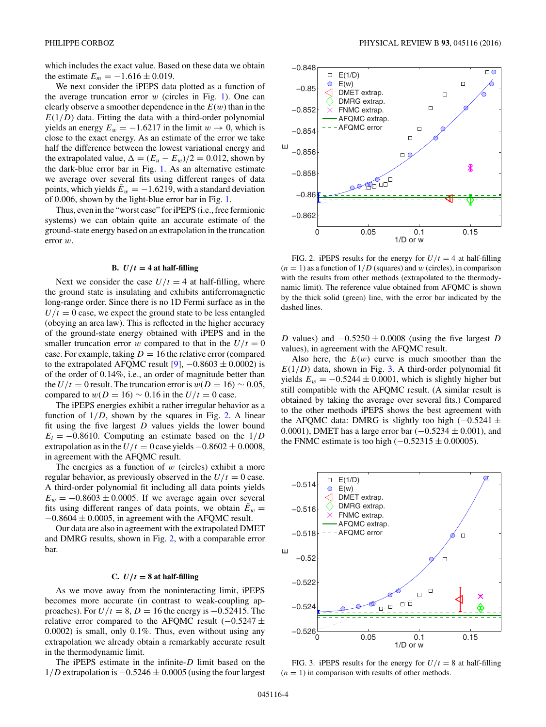which includes the exact value. Based on these data we obtain the estimate  $E_m = -1.616 \pm 0.019$ .

We next consider the iPEPS data plotted as a function of the average truncation error *w* (circles in Fig. [1\)](#page-3-0). One can clearly observe a smoother dependence in the  $E(w)$  than in the  $E(1/D)$  data. Fitting the data with a third-order polynomial yields an energy  $E_w = -1.6217$  in the limit  $w \to 0$ , which is close to the exact energy. As an estimate of the error we take half the difference between the lowest variational energy and the extrapolated value,  $\Delta = (E_u - E_w)/2 = 0.012$ , shown by the dark-blue error bar in Fig. [1.](#page-3-0) As an alternative estimate we average over several fits using different ranges of data points, which yields  $\tilde{E}_w = -1.6219$ , with a standard deviation of 0*.*006, shown by the light-blue error bar in Fig. [1.](#page-3-0)

Thus, even in the "worst case" for iPEPS (i.e., free fermionic systems) we can obtain quite an accurate estimate of the ground-state energy based on an extrapolation in the truncation error *w*.

#### **B.**  $U/t = 4$  at half-filling

Next we consider the case  $U/t = 4$  at half-filling, where the ground state is insulating and exhibits antiferromagnetic long-range order. Since there is no 1D Fermi surface as in the  $U/t = 0$  case, we expect the ground state to be less entangled (obeying an area law). This is reflected in the higher accuracy of the ground-state energy obtained with iPEPS and in the smaller truncation error *w* compared to that in the  $U/t = 0$ case. For example, taking  $D = 16$  the relative error (compared to the extrapolated AFQMC result [\[9\]](#page-7-0),  $-0.8603 \pm 0.0002$ ) is of the order of 0*.*14%, i.e., an order of magnitude better than the *U/t* = 0 result. The truncation error is  $w(D = 16) \sim 0.05$ , compared to  $w(D = 16) \sim 0.16$  in the  $U/t = 0$  case.

The iPEPS energies exhibit a rather irregular behavior as a function of  $1/D$ , shown by the squares in Fig. 2. A linear fit using the five largest *D* values yields the lower bound  $E_l = -0.8610$ . Computing an estimate based on the  $1/D$ extrapolation as in the  $U/t = 0$  case yields  $-0.8602 \pm 0.0008$ , in agreement with the AFQMC result.

The energies as a function of *w* (circles) exhibit a more regular behavior, as previously observed in the  $U/t = 0$  case. A third-order polynomial fit including all data points yields  $E_w = -0.8603 \pm 0.0005$ . If we average again over several fits using different ranges of data points, we obtain  $E_w =$  $-0.8604 \pm 0.0005$ , in agreement with the AFOMC result.

Our data are also in agreement with the extrapolated DMET and DMRG results, shown in Fig. 2, with a comparable error bar.

#### **C.**  $U/t = 8$  at half-filling

As we move away from the noninteracting limit, iPEPS becomes more accurate (in contrast to weak-coupling approaches). For  $U/t = 8$ ,  $D = 16$  the energy is  $-0.52415$ . The relative error compared to the AFQMC result (−0*.*5247 ± 0*.*0002) is small, only 0*.*1%. Thus, even without using any extrapolation we already obtain a remarkably accurate result in the thermodynamic limit.

The iPEPS estimate in the infinite-*D* limit based on the 1*/D* extrapolation is −0*.*5246 ± 0*.*0005 (using the four largest



FIG. 2. iPEPS results for the energy for  $U/t = 4$  at half-filling  $(n = 1)$  as a function of  $1/D$  (squares) and *w* (circles), in comparison with the results from other methods (extrapolated to the thermodynamic limit). The reference value obtained from AFQMC is shown by the thick solid (green) line, with the error bar indicated by the dashed lines.

*D* values) and  $-0.5250 \pm 0.0008$  (using the five largest *D* values), in agreement with the AFQMC result.

Also here, the  $E(w)$  curve is much smoother than the  $E(1/D)$  data, shown in Fig. 3. A third-order polynomial fit yields  $E_w = -0.5244 \pm 0.0001$ , which is slightly higher but still compatible with the AFQMC result. (A similar result is obtained by taking the average over several fits.) Compared to the other methods iPEPS shows the best agreement with the AFQMC data: DMRG is slightly too high  $(-0.5241 \pm$ 0*.*0001), DMET has a large error bar (−0*.*5234 ± 0*.*001), and the FNMC estimate is too high  $(-0.52315 \pm 0.00005)$ .



FIG. 3. iPEPS results for the energy for  $U/t = 8$  at half-filling  $(n = 1)$  in comparison with results of other methods.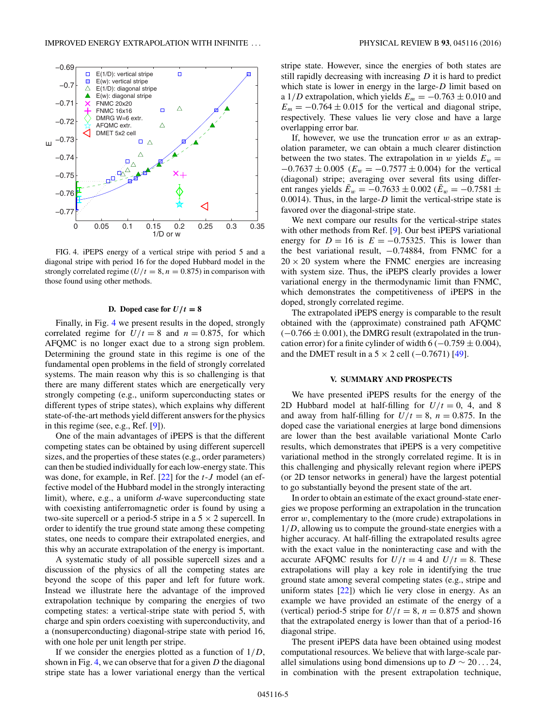<span id="page-5-0"></span>

FIG. 4. iPEPS energy of a vertical stripe with period 5 and a diagonal stripe with period 16 for the doped Hubbard model in the strongly correlated regime  $(U/t = 8, n = 0.875)$  in comparison with those found using other methods.

#### **D.** Doped case for  $U/t = 8$

Finally, in Fig. 4 we present results in the doped, strongly correlated regime for  $U/t = 8$  and  $n = 0.875$ , for which AFQMC is no longer exact due to a strong sign problem. Determining the ground state in this regime is one of the fundamental open problems in the field of strongly correlated systems. The main reason why this is so challenging is that there are many different states which are energetically very strongly competing (e.g., uniform superconducting states or different types of stripe states), which explains why different state-of-the-art methods yield different answers for the physics in this regime (see, e.g., Ref. [\[9\]](#page-7-0)).

One of the main advantages of iPEPS is that the different competing states can be obtained by using different supercell sizes, and the properties of these states (e.g., order parameters) can then be studied individually for each low-energy state. This was done, for example, in Ref. [\[22\]](#page-7-0) for the *t*-*J* model (an effective model of the Hubbard model in the strongly interacting limit), where, e.g., a uniform *d*-wave superconducting state with coexisting antiferromagnetic order is found by using a two-site supercell or a period-5 stripe in a  $5 \times 2$  supercell. In order to identify the true ground state among these competing states, one needs to compare their extrapolated energies, and this why an accurate extrapolation of the energy is important.

A systematic study of all possible supercell sizes and a discussion of the physics of all the competing states are beyond the scope of this paper and left for future work. Instead we illustrate here the advantage of the improved extrapolation technique by comparing the energies of two competing states: a vertical-stripe state with period 5, with charge and spin orders coexisting with superconductivity, and a (nonsuperconducting) diagonal-stripe state with period 16, with one hole per unit length per stripe.

If we consider the energies plotted as a function of 1*/D*, shown in Fig. 4, we can observe that for a given *D* the diagonal stripe state has a lower variational energy than the vertical stripe state. However, since the energies of both states are still rapidly decreasing with increasing *D* it is hard to predict which state is lower in energy in the large-*D* limit based on a 1/*D* extrapolation, which yields  $E_m = -0.763 \pm 0.010$  and  $E_m = -0.764 \pm 0.015$  for the vertical and diagonal stripe, respectively. These values lie very close and have a large overlapping error bar.

If, however, we use the truncation error *w* as an extrapolation parameter, we can obtain a much clearer distinction between the two states. The extrapolation in *w* yields  $E_w =$  $-0.7637 \pm 0.005$  ( $E_w = -0.7577 \pm 0.004$ ) for the vertical (diagonal) stripe; averaging over several fits using different ranges yields  $E_{w} = -0.7633 \pm 0.002$  ( $E_{w} = -0.7581 \pm 0.002$ ) 0*.*0014). Thus, in the large-*D* limit the vertical-stripe state is favored over the diagonal-stripe state.

We next compare our results for the vertical-stripe states with other methods from Ref. [\[9\]](#page-7-0). Our best iPEPS variational energy for  $D = 16$  is  $E = -0.75325$ . This is lower than the best variational result, −0*.*74884, from FNMC for a  $20 \times 20$  system where the FNMC energies are increasing with system size. Thus, the iPEPS clearly provides a lower variational energy in the thermodynamic limit than FNMC, which demonstrates the competitiveness of iPEPS in the doped, strongly correlated regime.

The extrapolated iPEPS energy is comparable to the result obtained with the (approximate) constrained path AFQMC (−0*.*766 ± 0*.*001), the DMRG result (extrapolated in the truncation error) for a finite cylinder of width  $6 (-0.759 \pm 0.004)$ , and the DMET result in a  $5 \times 2$  cell  $(-0.7671)$  [\[49\]](#page-7-0).

#### **V. SUMMARY AND PROSPECTS**

We have presented iPEPS results for the energy of the 2D Hubbard model at half-filling for  $U/t = 0$ , 4, and 8 and away from half-filling for  $U/t = 8$ ,  $n = 0.875$ . In the doped case the variational energies at large bond dimensions are lower than the best available variational Monte Carlo results, which demonstrates that iPEPS is a very competitive variational method in the strongly correlated regime. It is in this challenging and physically relevant region where iPEPS (or 2D tensor networks in general) have the largest potential to go substantially beyond the present state of the art.

In order to obtain an estimate of the exact ground-state energies we propose performing an extrapolation in the truncation error *w*, complementary to the (more crude) extrapolations in 1*/D*, allowing us to compute the ground-state energies with a higher accuracy. At half-filling the extrapolated results agree with the exact value in the noninteracting case and with the accurate AFQMC results for  $U/t = 4$  and  $U/t = 8$ . These extrapolations will play a key role in identifying the true ground state among several competing states (e.g., stripe and uniform states  $[22]$ ) which lie very close in energy. As an example we have provided an estimate of the energy of a (vertical) period-5 stripe for  $U/t = 8$ ,  $n = 0.875$  and shown that the extrapolated energy is lower than that of a period-16 diagonal stripe.

The present iPEPS data have been obtained using modest computational resources. We believe that with large-scale parallel simulations using bond dimensions up to  $D \sim 20...24$ , in combination with the present extrapolation technique,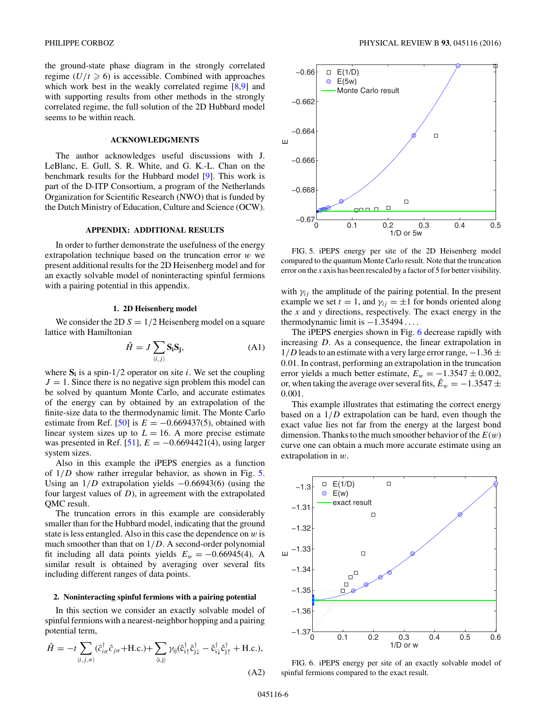the ground-state phase diagram in the strongly correlated regime  $(U/t \ge 6)$  is accessible. Combined with approaches which work best in the weakly correlated regime [\[8,9\]](#page-7-0) and with supporting results from other methods in the strongly correlated regime, the full solution of the 2D Hubbard model seems to be within reach.

#### **ACKNOWLEDGMENTS**

The author acknowledges useful discussions with J. LeBlanc, E. Gull, S. R. White, and G. K.-L. Chan on the benchmark results for the Hubbard model [\[9\]](#page-7-0). This work is part of the D-ITP Consortium, a program of the Netherlands Organization for Scientific Research (NWO) that is funded by the Dutch Ministry of Education, Culture and Science (OCW).

#### **APPENDIX: ADDITIONAL RESULTS**

In order to further demonstrate the usefulness of the energy extrapolation technique based on the truncation error *w* we present additional results for the 2D Heisenberg model and for an exactly solvable model of noninteracting spinful fermions with a pairing potential in this appendix.

#### **1. 2D Heisenberg model**

We consider the 2D  $S = 1/2$  Heisenberg model on a square lattice with Hamiltonian

$$
\hat{H} = J \sum_{\langle i,j \rangle} \mathbf{S}_i \mathbf{S}_j,\tag{A1}
$$

where  $S_i$  is a spin-1/2 operator on site *i*. We set the coupling  $J = 1$ . Since there is no negative sign problem this model can be solved by quantum Monte Carlo, and accurate estimates of the energy can by obtained by an extrapolation of the finite-size data to the thermodynamic limit. The Monte Carlo estimate from Ref. [\[50\]](#page-7-0) is  $E = -0.669437(5)$ , obtained with linear system sizes up to  $L = 16$ . A more precise estimate was presented in Ref. [\[51\]](#page-7-0),  $E = -0.6694421(4)$ , using larger system sizes.

Also in this example the iPEPS energies as a function of 1*/D* show rather irregular behavior, as shown in Fig. 5. Using an 1*/D* extrapolation yields −0*.*66943(6) (using the four largest values of *D*), in agreement with the extrapolated QMC result.

The truncation errors in this example are considerably smaller than for the Hubbard model, indicating that the ground state is less entangled. Also in this case the dependence on *w* is much smoother than that on 1*/D*. A second-order polynomial fit including all data points yields  $E_w = -0.66945(4)$ . A similar result is obtained by averaging over several fits including different ranges of data points.

#### **2. Noninteracting spinful fermions with a pairing potential**

In this section we consider an exactly solvable model of spinful fermions with a nearest-neighbor hopping and a pairing potential term,

$$
\hat{H} = -t \sum_{\langle i,j,\sigma \rangle} (\hat{c}_{i\sigma}^{\dagger} \hat{c}_{j\sigma} + \text{H.c.}) + \sum_{\langle i,j \rangle} \gamma_{ij} (\hat{c}_{i\uparrow}^{\dagger} \hat{c}_{j\downarrow}^{\dagger} - \hat{c}_{i\downarrow}^{\dagger} \hat{c}_{j\uparrow}^{\dagger} + \text{H.c.}),
$$
\n(A2)



FIG. 5. iPEPS energy per site of the 2D Heisenberg model compared to the quantum Monte Carlo result. Note that the truncation error on the *x* axis has been rescaled by a factor of 5 for better visibility.

with  $\gamma_{ij}$  the amplitude of the pairing potential. In the present example we set  $t = 1$ , and  $\gamma_{ij} = \pm 1$  for bonds oriented along the *x* and *y* directions, respectively. The exact energy in the thermodynamic limit is −1*.*35494 *...* .

The iPEPS energies shown in Fig. 6 decrease rapidly with increasing *D*. As a consequence, the linear extrapolation in  $1/D$  leads to an estimate with a very large error range,  $-1.36 \pm 1$ 0*.*01. In contrast, performing an extrapolation in the truncation error yields a much better estimate,  $E_w = -1.3547 \pm 0.002$ , or, when taking the average over several fits,  $\tilde{E}_w = -1.3547 \pm \tilde{E}_w$ 0*.*001.

This example illustrates that estimating the correct energy based on a 1*/D* extrapolation can be hard, even though the exact value lies not far from the energy at the largest bond dimension. Thanks to the much smoother behavior of the *E*(*w*) curve one can obtain a much more accurate estimate using an extrapolation in *w*.



FIG. 6. iPEPS energy per site of an exactly solvable model of spinful fermions compared to the exact result.